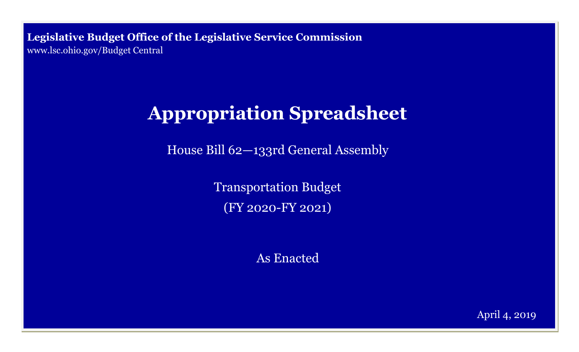**Legislative Budget Office of the Legislative Service Commission**  [www.lsc.ohio.gov/Budget Central](http://www.lsc.ohio.gov)

# **Appropriation Spreadsheet**

House Bill 62—133rd General Assembly

Transportation Budget (FY 2020-FY 2021)

As Enacted

April 4, 2019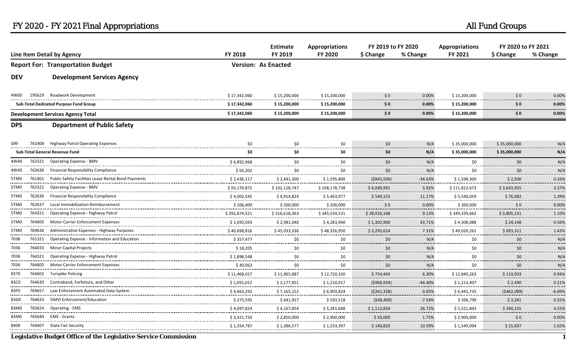|                                          |        |                                                            | <b>Estimate</b> | <b>Appropriations</b>                  | FY 2019 to FY 2020 |                              | <b>Appropriations</b>  |                    | FY 2020 to FY 2021  |               |  |
|------------------------------------------|--------|------------------------------------------------------------|-----------------|----------------------------------------|--------------------|------------------------------|------------------------|--------------------|---------------------|---------------|--|
| Line Item Detail by Agency               |        | <b>FY 2018</b>                                             | FY 2019         | FY 2020                                | \$ Change          | % Change                     | FY 2021                | \$ Change          | % Change            |               |  |
| <b>Report For: Transportation Budget</b> |        |                                                            |                 | <b>Version: As Enacted</b>             |                    |                              |                        |                    |                     |               |  |
| <b>DEV</b>                               |        | <b>Development Services Agency</b>                         |                 |                                        |                    |                              |                        |                    |                     |               |  |
| 4W00                                     | 195629 | Roadwork Development                                       | \$17,342,060    | \$15,200,000                           | \$15,200,000       | 50                           | 0.00%                  | \$15,200,000       | \$0                 | 0.00%         |  |
|                                          |        | <b>Sub-Total Dedicated Purpose Fund Group</b>              | \$17,342,060    | \$15,200,000                           | \$15,200,000       | \$0                          | 0.00%                  | \$15,200,000       | \$0                 | 0.00%         |  |
|                                          |        | <b>Development Services Agency Total</b>                   | \$17,342,060    | \$15,200,000                           | \$15,200,000       | \$0                          | 0.00%                  | \$15,200,000       | \$0                 | 0.00%         |  |
| <b>DPS</b>                               |        | <b>Department of Public Safety</b>                         |                 |                                        |                    |                              |                        |                    |                     |               |  |
|                                          | 761408 | <b>Highway Patrol Operating Expenses</b>                   | \$0             | \$0                                    | \$0                | \$0                          | N/A                    | \$35,000,000       | \$35,000,000        | N/A           |  |
|                                          |        | <b>Sub-Total General Revenue Fund</b>                      | \$0             | \$0                                    | \$0                | \$0                          | N/A                    | \$35,000,000       | \$35,000,000        | N/A           |  |
| 4W40                                     | 762321 | <b>Operating Expense - BMV</b>                             | \$6,892,968     | \$0                                    | \$0                | 50                           | N/A<br>.               | \$0<br>.           | \$0                 | N/A           |  |
| 4W40                                     | 762636 | <b>Financial Responsibility Compliance</b>                 | \$65,202<br>.   | \$0                                    | \$0                | \$0                          | N/A<br>.               | \$0                | \$0                 | N/f           |  |
| 5TM <sub>0</sub>                         |        | 761401 Public Safety Facilities Lease Rental Bond Payments | \$2,436,117<br> | \$2.441.300                            | \$1.595.800        | (\$845,500)<br>------------- | $-34.63%$<br>.         | \$1.598.300        | \$2.500             | 0.16%<br>.    |  |
| 5TM <sub>0</sub>                         |        | 762321 Operating Expense - BMV                             | \$93,170,872    | \$102,128,747                          | \$108,178,738      | \$6,049,991                  | 5.92%<br>.             | \$111,822,673      | \$3,643,935         | 3.37%<br>.    |  |
| 5TM0                                     |        | 762636 Financial Responsibility Compliance                 | \$4,002,545     | \$4,914,824<br>----------------------- | \$5.463.977        | \$549.153                    | 11.17%<br>. <i>.</i> . | \$5.540.059<br>    | \$76.082            | 1.39%<br>     |  |
| 5TM <sub>0</sub>                         | 762637 | Local Immobilization Reimbursement                         | \$106,409       | \$200,000<br>                          | \$200,000<br>      | \$0                          | 0.00%<br>.             | \$200,000          | \$0                 | 0.00%<br>.    |  |
| 5TM0                                     |        | 764321 Operating Expense - Highway Patrol                  | \$292,674,521   | \$316,618,363<br>.                     | \$345,534,531<br>. | \$28,916,168<br><u>.</u>     | 9.13%<br>.             | \$349,339,662<br>. | \$3,805,131         | 1.109<br>.    |  |
| 5TM0                                     |        | 764605 Motor Carrier Enforcement Expenses                  | \$1,693,043     | \$2,981,040                            | \$4,283,940        | \$1,302,900                  | 43.71%                 | \$4,308,088        | \$24,148            | 0.56%         |  |
| 5TM0                                     |        | 769636 Administrative Expenses - Highway Purposes          | \$40,698,816    | \$45,033,336                           | \$48.326.950<br>   | \$3,293,614                  | 7.31%                  | \$49,020,261<br>   | \$693.311           | 1.43%<br>.    |  |
| 7036<br>                                 | 761321 | Operating Expense - Information and Education              | \$357,477<br>.  | \$0<br>.                               | \$0                | \$0                          | N/A<br>.               | \$0<br>            | \$0                 | N/A           |  |
| 7036                                     |        | 764033 Minor Capital Projects                              | \$18,205        | \$0                                    | \$0                | \$0                          | N/A<br>.               | \$0                | \$0                 | N/A<br>.      |  |
| 7036<br>                                 |        | 764321 Operating Expense - Highway Patrol                  | \$1,898,548     | \$0                                    | \$0                | \$0                          | N/A<br>                | \$0                | 50 <sub>2</sub>     | N/A<br>.      |  |
| 7036<br>                                 |        | 764605 Motor Carrier Enforcement Expenses                  | \$40,063        | \$0                                    | \$0                | $50^{\circ}$                 | N/A<br>. <b>.</b>      | \$0                | 50 <sub>2</sub><br> | N/A<br>.      |  |
| 8370<br>------                           |        | 764602 Turnpike Policing                                   | \$11,468,017    | \$11,965,887                           | \$12,720,330       | \$754,443                    | 6.30%<br>.             | \$12,840,263       | \$119,933           | 0.94%<br>.    |  |
| 83C0<br>                                 | 764630 | Contraband, Forfeiture, and Other                          | \$1,055,012     | \$2,177,851                            | \$1,210,917        | ( \$966, 934)                | $-44.40%$              | \$1,213,407        | \$2,490             | 0.219         |  |
| 83F0<br>                                 |        | 764657 Law Enforcement Automated Data System               | \$4,663,292     | \$7,165,152                            | \$6,903,824        | (\$261,328)                  | $-3.65%$<br>.          | \$6,441,735        | (5462,089)          | $-6.69%$<br>. |  |
| 83G0                                     |        | 764633 OMVI Enforcement/Education                          | \$275,595       | \$641,927                              | \$593,518          | (548, 409)<br>               | $-7.54%$               | \$596,799          | \$3,281             | 0.55%         |  |
| 83M0                                     |        | 765624 Operating - EMS                                     | \$4,097,824     | \$4,167,854<br>                        | \$5,281,688<br>    | \$1.113.834<br>              | 26.72%<br>.            | \$5,521,843<br>    | \$240.155           | 4.55%<br>.    |  |
| 83M0                                     |        | 765640 EMS - Grants                                        | \$3,321,750     | \$2,850,000                            | \$2,900,000<br>.   | \$50.000                     | 1.75%<br>.             | \$2,900,000        | 50                  | 0.00%<br>.    |  |
| 8400                                     |        | 764607 State Fair Security                                 | \$1,354,787     | \$1,386,577                            | \$1,533,397        | \$146,820                    | 10.59%                 | \$1,549,094        | \$15,697            | 1.02%         |  |

**Legislative Budget Office of the Legislative Service Commission 1**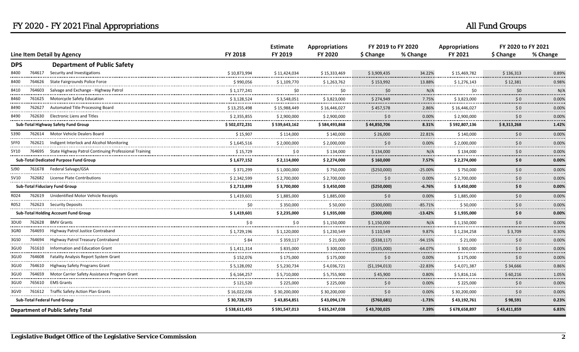|                                        |                            |                                                              |                | <b>Estimate</b><br>FY 2019 | <b>Appropriations</b><br><b>FY 2020</b> | FY 2019 to FY 2020        |             | <b>Appropriations</b> | FY 2020 to FY 2021 |            |
|----------------------------------------|----------------------------|--------------------------------------------------------------|----------------|----------------------------|-----------------------------------------|---------------------------|-------------|-----------------------|--------------------|------------|
|                                        | Line Item Detail by Agency |                                                              | <b>FY 2018</b> |                            |                                         | \$ Change                 | % Change    | FY 2021               | \$ Change          | % Change   |
| <b>DPS</b>                             |                            | <b>Department of Public Safety</b>                           |                |                            |                                         |                           |             |                       |                    |            |
| 8400                                   |                            | 764617 Security and Investigations                           | \$10,873,994   | \$11,424,034               | \$15,333,469                            | \$3,909,435               | 34.22%      | \$15,469,782          | \$136,313          | 0.89%      |
| 8400                                   | 764626                     | State Fairgrounds Police Force                               | \$990,056      | \$1,109,770                | \$1,263,762<br>                         | \$153,992                 | 13.88%<br>  | \$1,276,143<br>       | \$12,381<br>.      | 0.98%      |
| 8410                                   | 764603                     | Salvage and Exchange - Highway Patrol                        | \$1,177,241    | \$0<br>a a ba              | \$0                                     | \$0                       | N/A<br>.    | \$0                   | \$0                | N/A        |
| 8460                                   |                            | 761625 Motorcycle Safety Education                           | \$3,128,524    | \$3,548,051                | \$3,823,000                             | \$274,949                 | 7.75%<br>.  | \$3,823,000           | 50                 | 0.00%      |
| 8490                                   | 762627                     | Automated Title Processing Board                             | \$13,255,498   | \$15,988,449               | \$16,446,027                            | \$457,578<br>. <b>.</b> . | 2.86%<br>.  | \$16,446,027          | \$0                | 0.00%      |
| 8490                                   | 762630                     | Electronic Liens and Titles                                  | \$2,355,855    | \$2,900,000                | \$2,900,000                             | $\frac{1}{2}0$            | 0.00%       | \$2,900,000           | \$0                | 0.00%      |
|                                        |                            | Sub-Total Highway Safety Fund Group                          | \$502,072,231  | \$539,643,162              | \$584,493,868                           | \$44,850,706              | 8.31%       | \$592,807,136         | \$8,313,268        | 1.42%      |
| 5390                                   |                            | 762614 Motor Vehicle Dealers Board                           | \$15,907       | \$114,000                  | \$140,000                               | \$26,000                  | 22.81%      | \$140,000             | \$0                | 0.00%      |
| 5FF <sub>0</sub>                       |                            | 762621 Indigent Interlock and Alcohol Monitoring             | \$1,645,516    | \$2,000,000<br>.           | \$2.000.000<br>----------               | 50                        | 0.00%<br>.  | \$2.000.000           | 50                 | 0.00%<br>  |
| 5Y10                                   |                            | 764695 State Highway Patrol Continuing Professional Training | \$15,729<br>.  | \$0<br>.                   | \$134,000<br>-----------                | \$134,000                 | N/A<br>.    | \$134,000             | \$0                | 0.00%      |
| Sub-Total Dedicated Purpose Fund Group |                            | \$1,677,152                                                  | \$2,114,000    | \$2,274,000                | \$160,000                               | 7.57%                     | \$2,274,000 | \$0                   | 0.00%              |            |
| 5J90                                   |                            | 761678 Federal Salvage/GSA                                   | \$371,299      | \$1,000,000                | \$750,000                               | (\$250,000)               | $-25.00%$   | \$750,000             | 50                 | 0.00%      |
| 5V10                                   |                            | 762682 License Plate Contributions                           | \$ 2,342,599   | \$2,700,000                | \$2,700,000                             | 50                        | 0.00%       | \$2,700,000           | $\sf 50$           | 0.00%      |
|                                        |                            | Sub-Total Fiduciary Fund Group                               | \$2,713,899    | \$3,700,000                | \$3,450,000                             | (\$250,000)               | $-6.76%$    | \$3,450,000           | \$0                | 0.00%      |
| R024                                   |                            | 762619 Unidentified Motor Vehicle Receipts                   | \$1,419,601    | \$1,885,000                | \$1,885,000                             | \$0                       | 0.00%       | \$1,885,000           | \$0                | 0.00%      |
| R052                                   |                            | 762623 Security Deposits                                     | \$0            | \$350.000                  | \$50.000                                | (5300,000)                | $-85.71%$   | \$50.000              | 50                 | 0.00%      |
|                                        |                            | <b>Sub-Total Holding Account Fund Group</b>                  | \$1,419,601    | \$2,235,000                | \$1,935,000                             | ( \$300,000]              | $-13.42%$   | \$1,935,000           | \$0                | 0.00%      |
| 3DU0                                   |                            | 762628 BMV Grants                                            | \$0            | \$0                        | \$1,150,000                             | \$1,150,000               | N/A         | \$1,150,000           | \$0                | 0.00%      |
| 3GR <sub>0</sub>                       | 764693                     | Highway Patrol Justice Contraband                            | \$1,729,196    | \$1,120,000                | \$1,230,549                             | \$110,549                 | 9.87%       | \$1,234,258           | \$3,709            | 0.30%      |
| 3GS0                                   | 764694                     | Highway Patrol Treasury Contraband                           | \$84           | \$359,117                  | \$21,000                                | (5338, 117)               | $-94.15%$   | \$21,000              | \$0                | 0.00%      |
| 3GU0                                   |                            | 761610 Information and Education Grant                       | \$1,411,314    | \$835,000                  | \$300,000                               | ( \$535,000)              | $-64.07%$   | \$300,000             | \$0                | 0.00%      |
| 3GU0                                   | 764608                     | <b>Fatality Analysis Report System Grant</b>                 | \$152,076      | \$175,000                  | \$175,000                               | \$0                       | 0.00%<br>.  | \$175,000             | \$0<br>.           | 0.00%<br>. |
| 3GU0                                   |                            | 764610 Highway Safety Programs Grant                         | \$5,128,092    | \$5,230,734                | \$4,036,721                             | (51, 194, 013)            | $-22.83%$   | \$4,071,387           | \$34,666           | 0.86%      |
| 3GU0                                   | 764659                     | Motor Carrier Safety Assistance Program Grant                | \$6,164,257    | \$5,710,000                | \$5,755,900                             | \$45,900                  | 0.80%<br>.  | \$5,816,116           | \$60,216           | 1.05%<br>. |
| 3GU0                                   | 765610                     | <b>EMS Grants</b>                                            | \$121,520      | \$225,000                  | \$225,000                               | 50                        | 0.00%       | \$225,000             | $\sf 50$           | 0.00%      |
| 3GV0                                   |                            | 761612 Traffic Safety Action Plan Grants                     | \$16,022,036   | \$30,200,000               | \$30,200,000                            | \$0                       | 0.00%       | \$30,200,000          | \$0                | 0.00%      |
|                                        |                            | Sub-Total Federal Fund Group                                 | \$30,728,573   | \$43,854,851               | \$43,094,170                            | (5760, 681)               | $-1.73%$    | \$43,192,761          | \$98,591           | 0.23%      |
|                                        |                            | <b>Department of Public Safety Total</b>                     | \$538,611,455  | \$591,547,013              | \$635,247,038                           | \$43,700,025              | 7.39%       | \$678,658,897         | \$43,411,859       | 6.83%      |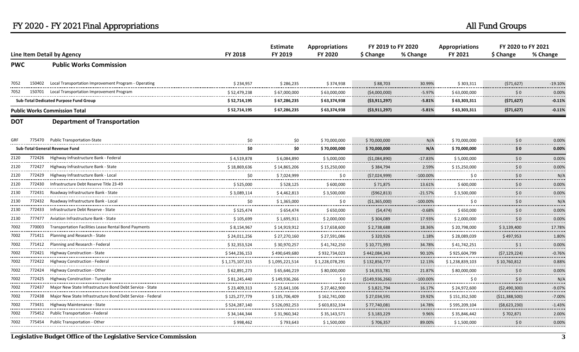|            |                            |                                                                 | Estimate         | <b>Appropriations</b>         | FY 2019 to FY 2020   |                   | <b>Appropriations</b>   | FY 2020 to FY 2021                     |                                 |                |
|------------|----------------------------|-----------------------------------------------------------------|------------------|-------------------------------|----------------------|-------------------|-------------------------|----------------------------------------|---------------------------------|----------------|
|            | Line Item Detail by Agency |                                                                 | <b>FY 2018</b>   | FY 2019                       | <b>FY 2020</b>       | \$ Change         | % Change                | FY 2021                                | \$ Change                       | % Change       |
| <b>PWC</b> |                            | <b>Public Works Commission</b>                                  |                  |                               |                      |                   |                         |                                        |                                 |                |
| 7052       |                            | 150402 Local Transportation Improvement Program - Operating     | \$234,957        | \$286,235<br>.                | \$374,938            | \$88,703          | 30.99%                  | \$303,311<br>.                         | (571, 627)                      | $-19.10%$<br>  |
| 7052       | 150701                     | Local Transportation Improvement Program                        | \$52,479,238     | \$67,000,000                  | \$63,000,000         | ( \$4,000,000]    | $-5.97%$                | \$63,000,000                           | \$0                             | 0.00%          |
|            |                            | Sub-Total Dedicated Purpose Fund Group                          | \$52,714,195     | \$67,286,235                  | \$63,374,938         | (53, 911, 297)    | $-5.81%$                | \$63,303,311                           | (571, 627)                      | .<br>$-0.11%$  |
|            |                            | <b>Public Works Commission Total</b>                            | \$52,714,195     | \$67,286,235                  | \$63,374,938         | ( \$3,911,297)    | $-5.81%$                | \$63,303,311                           | (571, 627)                      | $-0.11%$       |
| <b>DOT</b> |                            | <b>Department of Transportation</b>                             |                  |                               |                      |                   |                         |                                        |                                 |                |
| GRF        |                            | 775470 Public Transportation-State                              | \$0              | \$0                           | \$70,000,000         | \$70,000,000      | N/A                     | \$70,000,000                           | \$0                             | 0.00%          |
|            |                            | <b>Sub-Total General Revenue Fund</b>                           | \$0              | \$0                           | \$70,000,000         | \$70,000,000      | N/A                     | \$70,000,000                           | \$0                             | 0.00%          |
| 2120       |                            | 772426 Highway Infrastructure Bank - Federal                    | \$4,519,878      | \$6,084,890                   | \$5,000,000          | (\$1,084,890)     | $-17.83%$               | \$5,000,000                            | \$0                             | 0.00%<br>.     |
| 2120       |                            | 772427 Highway Infrastructure Bank - State                      | \$18,869,636     | \$14,865,206                  | \$15,250,000<br>.    | \$384,794         | 2.59%<br>               | \$15,250,000                           | \$0                             | 0.00%<br>.     |
| 2120       | 772429                     | Highway Infrastructure Bank - Local                             | \$0              | \$7,024,999                   | SO.                  | (57, 024, 999)    | $-100.00\%$             | \$0                                    | .<br>$\mathsf{S} \, \mathsf{O}$ | N/A            |
| 2120       | 772430                     | Infrastructure Debt Reserve Title 23-49                         | .<br>\$525,000   | \$528,125                     | -----<br>\$600,000   | \$71,875          | 13.61%                  | \$600,000                              | \$0                             | .<br>0.00%<br> |
| 2130       |                            | 772431 Roadway Infrastructure Bank - State                      | \$3,089,114      | \$4,462,813<br>               | \$3,500,000<br>.     | (5962, 813)       | $-21.57%$<br>.          | \$3,500,000<br>.                       | \$0                             | 0.00%<br>.     |
| 2130<br>.  | 772432                     | Roadway Infrastructure Bank - Local                             | \$0<br>          | \$1,365,000<br>-------------- | \$0<br>------        | (51,365,000)<br>. | $-100.00\%$<br>.        | \$0                                    | \$0                             | N/A<br>        |
| 2130       | 772433                     | Infrastructure Debt Reserve - State                             | \$525,474        | \$654,474                     | \$650,000            | (54, 474)         | $-0.68%$<br>.           | \$650,000                              | \$0                             | 0.00%<br>      |
| 2130       |                            | 777477 Aviation Infrastructure Bank - State                     | \$105,699        | \$1,695,911                   | \$2,000,000          | \$304,089         | 17.93%<br>.             | \$2,000,000                            | \$0                             | 0.00%<br>.     |
| 7002       |                            | 770003 Transportation Facilities Lease Rental Bond Payments     | \$8,154,967<br>. | \$14,919,912                  | \$17,658,600<br>.    | \$2,738,688<br>.  | 18.36%<br>              | \$20,798,000                           | \$3,139,400                     | 17.78%<br>.    |
| 7002       | 771411                     | <b>Planning and Research - State</b>                            | \$24.011.256     | \$27.270.160                  | \$27,591,086         | \$320.926         | 1.18%<br>.              | \$28.089.039                           | \$497.953                       | 1.80%<br>.     |
| 7002       |                            | 771412 Planning and Research - Federal                          | \$32,353,524     | \$30,970,257                  | \$41,742,250         | \$10,771,993      | 34.78%                  | \$41,742,251                           | \$1                             | 0.00%<br>      |
| 7002       |                            | 772421 Highway Construction - State                             | \$544,236,153    | \$490,649,680                 | \$932,734,023        | \$442,084,343     | 90.10%                  | \$925,604,799                          | (57, 129, 224)                  | $-0.76%$<br>   |
| 7002       |                            | 772422 Highway Construction - Federal                           | \$1,175,107,315  | \$1,095,221,514<br>           | \$1,228,078,291<br>. | \$132,856,777     | 12.13%<br>.             | \$1,238,839,103<br>------------------- | \$10,760,812                    | 0.88%<br>.     |
| 7002       | 772424                     | Highway Construction - Other                                    | \$62,891,273     | \$65,646,219<br>              | \$80,000,000<br>     | \$14,353,781      | 21.87%<br>.             | \$80,000,000<br>                       | \$0                             | 0.00%<br>.     |
| 7002       |                            | 772425 Highway Construction - Turnpike                          | \$81,245,440     | \$149,936,266                 | SO.                  | (5149, 936, 266)  | $-100.00\%$<br><u>.</u> | \$0                                    | $\sf{50}$                       | N/A<br>.       |
| 7002       |                            | 772437 Major New State Infrastructure Bond Debt Service - State | \$23,409,313<br> | \$23,641,106<br>              | \$27,462,900<br>     | \$3,821,794       | 16.17%<br>              | \$24,972,600                           | (52, 490, 300)                  | $-9.07%$<br>   |
| 7002       | 772438                     | Major New State Infrastructure Bond Debt Service - Federal      | \$125,277,779    | \$135,706,409                 | \$162,741,000        | \$27,034,591      | 19.92%<br>              | \$151,352,500                          | (\$11,388,500)                  | $-7.00%$<br>.  |
| 7002       |                            | 773431 Highway Maintenance - State                              | \$524.287.140    | \$526,092,253                 | \$ 603,832,334       | \$77,740,081      | 14.78%                  | \$595,209,104                          | (58, 623, 230)                  | $-1.43%$<br>.  |
| 7002       |                            | 775452 Public Transportation - Federal                          | \$34,144,344     | \$31,960,342                  | \$35,143,571         | \$3,183,229       | 9.96%                   | \$35,846,442                           | \$702,871                       | 2.00%<br>      |
| 7002       |                            | 775454 Public Transportation - Other                            | \$998,462        | \$793,643                     | \$1,500,000          | \$706,357         | 89.00%                  | \$1,500,000                            | \$0                             | 0.00%<br>.     |